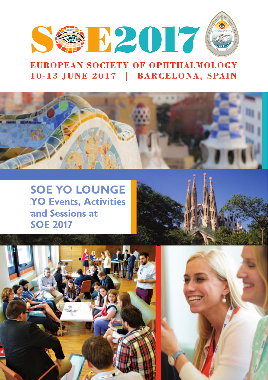

# **EUROPEAN SOCIETY OF OPHTHALMOLOGY** 10-13 JUNE 2017 | BARCELONA, SPAIN



**YO** Events, Activities **and Sessions at SOE 2017 SOE YO LOUNGE**